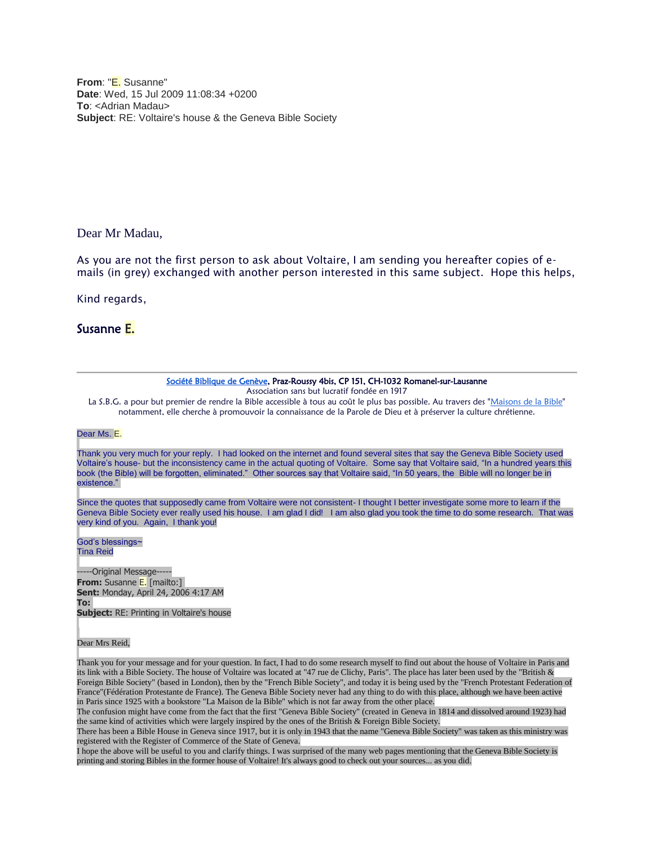**From**: "E. Susanne" **Date**: Wed, 15 Jul 2009 11:08:34 +0200 **To**: <Adrian Madau> **Subject**: RE: Voltaire's house & the Geneva Bible Society

Dear Mr Madau,

As you are not the first person to ask about Voltaire, I am sending you hereafter copies of emails (in grey) exchanged with another person interested in this same subject. Hope this helps,

Kind regards,

## Susanne E.

| Société Biblique de Genève, Praz-Roussy 4bis, CP 151, CH-1032 Romanel-sur-Lausanne<br>Association sans but lucratif fondée en 1917                                                                                                                                                                                                                                                                                             |
|--------------------------------------------------------------------------------------------------------------------------------------------------------------------------------------------------------------------------------------------------------------------------------------------------------------------------------------------------------------------------------------------------------------------------------|
| La S.B.G. a pour but premier de rendre la Bible accessible à tous au coût le plus bas possible. Au travers des "Maisons de la Bible"                                                                                                                                                                                                                                                                                           |
| notamment, elle cherche à promouvoir la connaissance de la Parole de Dieu et à préserver la culture chrétienne.                                                                                                                                                                                                                                                                                                                |
| Dear Ms. E.                                                                                                                                                                                                                                                                                                                                                                                                                    |
| Thank you very much for your reply. I had looked on the internet and found several sites that say the Geneva Bible Society used<br>Voltaire's house- but the inconsistency came in the actual quoting of Voltaire. Some say that Voltaire said, "In a hundred years this<br>book (the Bible) will be forgotten, eliminated." Other sources say that Voltaire said, "In 50 years, the Bible will no longer be in<br>existence." |
| Since the quotes that supposedly came from Voltaire were not consistent-I thought I better investigate some more to learn if the<br>Geneva Bible Society ever really used his house. I am glad I did! I am also glad you took the time to do some research. That was<br>very kind of you. Again, I thank you!                                                                                                                  |
| God's blessings~<br><b>Tina Reid</b>                                                                                                                                                                                                                                                                                                                                                                                           |
| -----Original Message-----                                                                                                                                                                                                                                                                                                                                                                                                     |
| <b>From:</b> Susanne E. [mailto:]                                                                                                                                                                                                                                                                                                                                                                                              |
| <b>Sent: Monday, April 24, 2006 4:17 AM</b>                                                                                                                                                                                                                                                                                                                                                                                    |
| To:                                                                                                                                                                                                                                                                                                                                                                                                                            |

**Subject:** RE: Printing in Voltaire's house

## Dear Mrs Reid,

Thank you for your message and for your question. In fact, I had to do some research myself to find out about the house of Voltaire in Paris and its link with a Bible Society. The house of Voltaire was located at "47 rue de Clichy, Paris". The place has later been used by the "British & Foreign Bible Society" (based in London), then by the "French Bible Society", and today it is being used by the "French Protestant Federation of France"(Fédération Protestante de France). The Geneva Bible Society never had any thing to do with this place, although we have been active in Paris since 1925 with a bookstore "La Maison de la Bible" which is not far away from the other place.

The confusion might have come from the fact that the first "Geneva Bible Society" (created in Geneva in 1814 and dissolved around 1923) had the same kind of activities which were largely inspired by the ones of the British & Foreign Bible Society.

There has been a Bible House in Geneva since 1917, but it is only in 1943 that the name "Geneva Bible Society" was taken as this ministry was registered with the Register of Commerce of the State of Geneva.

I hope the above will be useful to you and clarify things. I was surprised of the many web pages mentioning that the Geneva Bible Society is printing and storing Bibles in the former house of Voltaire! It's always good to check out your sources... as you did.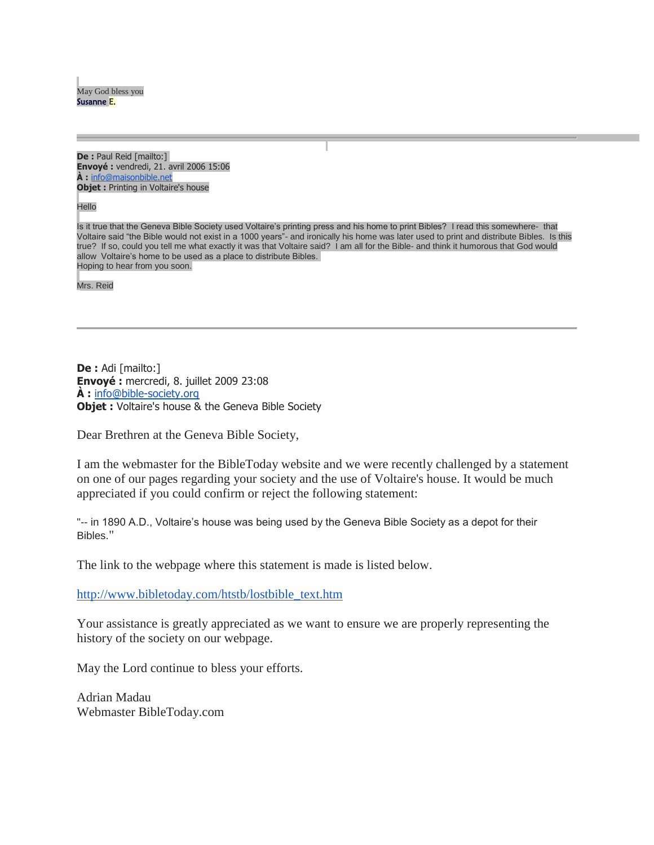May God bless you Susanne E.

**De :** Paul Reid [mailto:] **Envoyé :** vendredi, 21. avril 2006 15:06 **À :** [info@maisonbible.net](mailto:info@maisonbible.net) **Objet :** Printing in Voltaire's house

**Hello** 

Is it true that the Geneva Bible Society used Voltaire's printing press and his home to print Bibles? I read this somewhere- that Voltaire said "the Bible would not exist in a 1000 years"- and ironically his home was later used to print and distribute Bibles. Is this true? If so, could you tell me what exactly it was that Voltaire said? I am all for the Bible- and think it humorous that God would allow Voltaire's home to be used as a place to distribute Bibles. Hoping to hear from you soon.

Mrs. Reid

**De :** Adi [mailto:] **Envoyé :** mercredi, 8. juillet 2009 23:08 **À :** [info@bible-society.org](mailto:info@bible-society.org) **Objet :** Voltaire's house & the Geneva Bible Society

Dear Brethren at the Geneva Bible Society,

I am the webmaster for the BibleToday website and we were recently challenged by a statement on one of our pages regarding your society and the use of Voltaire's house. It would be much appreciated if you could confirm or reject the following statement:

"-- in 1890 A.D., Voltaire's house was being used by the Geneva Bible Society as a depot for their Bibles."

The link to the webpage where this statement is made is listed below.

[http://www.bibletoday.com/htstb/lostbible\\_text.htm](http://www.bibletoday.com/htstb/lostbible_text.htm)

Your assistance is greatly appreciated as we want to ensure we are properly representing the history of the society on our webpage.

May the Lord continue to bless your efforts.

Adrian Madau Webmaster BibleToday.com